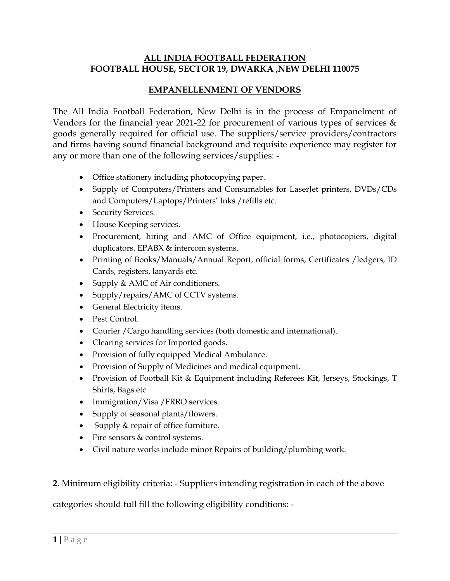#### **ALL INDIA FOOTBALL FEDERATION FOOTBALL HOUSE, SECTOR 19, DWARKA ,NEW DELHI 110075**

#### **EMPANELLENMENT OF VENDORS**

The All India Football Federation, New Delhi is in the process of Empanelment of Vendors for the financial year 2021-22 for procurement of various types of services & goods generally required for official use. The suppliers/service providers/contractors and firms having sound financial background and requisite experience may register for any or more than one of the following services/supplies: -

- Office stationery including photocopying paper.
- Supply of Computers/Printers and Consumables for LaserJet printers, DVDs/CDs and Computers/Laptops/Printers' Inks /refills etc.
- Security Services.
- House Keeping services.
- Procurement, hiring and AMC of Office equipment, i.e., photocopiers, digital duplicators. EPABX & intercom systems.
- Printing of Books/Manuals/Annual Report, official forms, Certificates /ledgers, ID Cards, registers, lanyards etc.
- Supply & AMC of Air conditioners.
- Supply/repairs/AMC of CCTV systems.
- General Electricity items.
- Pest Control.
- Courier /Cargo handling services (both domestic and international).
- Clearing services for Imported goods.
- Provision of fully equipped Medical Ambulance.
- Provision of Supply of Medicines and medical equipment.
- Provision of Football Kit & Equipment including Referees Kit, Jerseys, Stockings, T Shirts, Bags etc
- Immigration/Visa / FRRO services.
- Supply of seasonal plants/flowers.
- Supply & repair of office furniture.
- Fire sensors & control systems.
- Civil nature works include minor Repairs of building/plumbing work.

**2.** Minimum eligibility criteria: - Suppliers intending registration in each of the above

categories should full fill the following eligibility conditions: -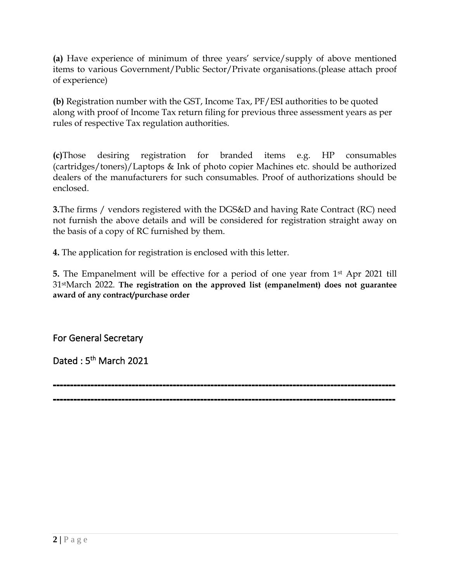**(a)** Have experience of minimum of three years' service/supply of above mentioned items to various Government/Public Sector/Private organisations.(please attach proof of experience)

**(b)** Registration number with the GST, Income Tax, PF/ESI authorities to be quoted along with proof of Income Tax return filing for previous three assessment years as per rules of respective Tax regulation authorities.

**(c)**Those desiring registration for branded items e.g. HP consumables (cartridges/toners)/Laptops & Ink of photo copier Machines etc. should be authorized dealers of the manufacturers for such consumables. Proof of authorizations should be enclosed.

**3.**The firms / vendors registered with the DGS&D and having Rate Contract (RC) need not furnish the above details and will be considered for registration straight away on the basis of a copy of RC furnished by them.

**4.** The application for registration is enclosed with this letter.

**5.** The Empanelment will be effective for a period of one year from 1st Apr 2021 till 31stMarch 2022. **The registration on the approved list (empanelment) does not guarantee award of any contract/purchase order**

For General Secretary

Dated: 5<sup>th</sup> March 2021

---------------------------------------------------------------------------------------------------- ----------------------------------------------------------------------------------------------------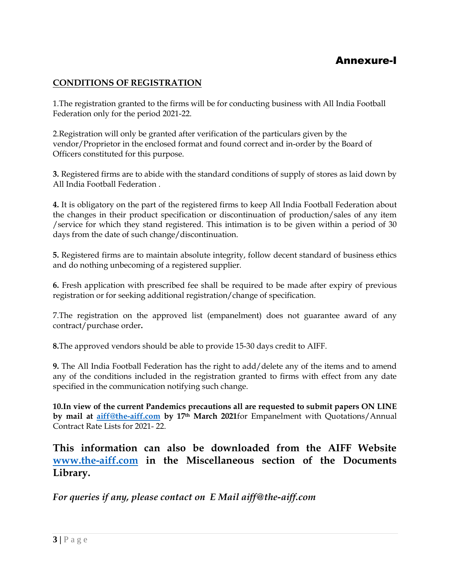## Annexure-I

#### **CONDITIONS OF REGISTRATION**

1.The registration granted to the firms will be for conducting business with All India Football Federation only for the period 2021-22.

2.Registration will only be granted after verification of the particulars given by the vendor/Proprietor in the enclosed format and found correct and in-order by the Board of Officers constituted for this purpose.

**3.** Registered firms are to abide with the standard conditions of supply of stores as laid down by All India Football Federation .

**4.** It is obligatory on the part of the registered firms to keep All India Football Federation about the changes in their product specification or discontinuation of production/sales of any item /service for which they stand registered. This intimation is to be given within a period of 30 days from the date of such change/discontinuation.

**5.** Registered firms are to maintain absolute integrity, follow decent standard of business ethics and do nothing unbecoming of a registered supplier.

**6.** Fresh application with prescribed fee shall be required to be made after expiry of previous registration or for seeking additional registration/change of specification.

7.The registration on the approved list (empanelment) does not guarantee award of any contract/purchase order**.**

**8.**The approved vendors should be able to provide 15-30 days credit to AIFF.

**9.** The All India Football Federation has the right to add/delete any of the items and to amend any of the conditions included in the registration granted to firms with effect from any date specified in the communication notifying such change.

**10.In view of the current Pandemics precautions all are requested to submit papers ON LINE by mail at [aiff@the-aiff.com](mailto:aiff@the-aiff.com) by 17th March 2021**for Empanelment with Quotations/Annual Contract Rate Lists for 2021- 22.

**This information can also be downloaded from the AIFF Website [www.the-aiff.com](http://www.the-aiff.com/) in the Miscellaneous section of the Documents Library.**

*For queries if any, please contact on E Mail aiff@the-aiff.com*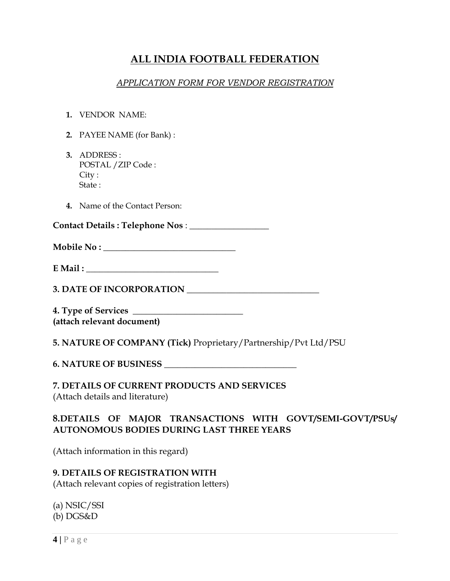# **ALL INDIA FOOTBALL FEDERATION**

#### *APPLICATION FORM FOR VENDOR REGISTRATION*

- **1.** VENDOR NAME:
- **2.** PAYEE NAME (for Bank) :
- **3.** ADDRESS : POSTAL /ZIP Code : City : State :
- **4.** Name of the Contact Person:

**Contact Details : Telephone Nos** : \_\_\_\_\_\_\_\_\_\_\_\_\_\_\_\_\_\_

**Mobile No :** 

**E** Mail :

**3. DATE OF INCORPORATION \_\_\_\_\_\_\_\_\_\_\_\_\_\_\_\_\_\_\_\_\_\_\_\_\_\_\_\_\_\_**

**4. Type of Services \_\_\_\_\_\_\_\_\_\_\_\_\_\_\_\_\_\_\_\_\_\_\_\_\_ (attach relevant document)**

**5. NATURE OF COMPANY (Tick)** Proprietary/Partnership/Pvt Ltd/PSU

**6. NATURE OF BUSINESS \_\_\_\_\_\_\_\_\_\_\_\_\_\_\_\_\_\_\_\_\_\_\_\_\_\_\_\_\_\_**

**7. DETAILS OF CURRENT PRODUCTS AND SERVICES** (Attach details and literature)

#### **8.DETAILS OF MAJOR TRANSACTIONS WITH GOVT/SEMI-GOVT/PSUs/ AUTONOMOUS BODIES DURING LAST THREE YEARS**

(Attach information in this regard)

# **9. DETAILS OF REGISTRATION WITH**

(Attach relevant copies of registration letters)

(a) NSIC/SSI (b) DGS&D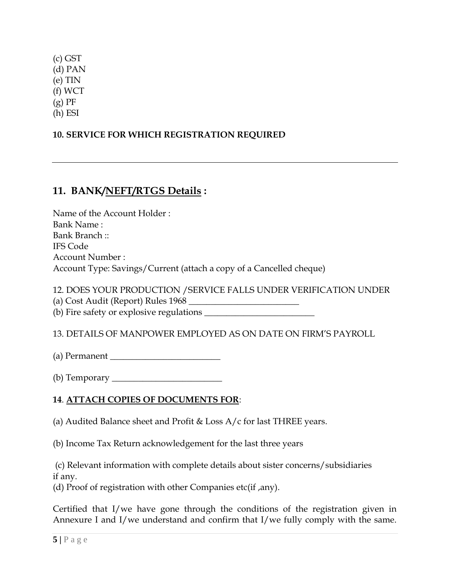(c) GST (d) PAN (e) TIN (f) WCT  $(g)$  PF (h) ESI

### **10. SERVICE FOR WHICH REGISTRATION REQUIRED**

## **11. BANK/NEFT/RTGS Details :**

Name of the Account Holder : Bank Name : Bank Branch :: IFS Code Account Number : Account Type: Savings/Current (attach a copy of a Cancelled cheque)

12. DOES YOUR PRODUCTION /SERVICE FALLS UNDER VERIFICATION UNDER (a) Cost Audit (Report) Rules 1968 \_\_\_\_\_\_\_\_\_\_\_\_\_\_\_\_\_\_\_\_\_\_\_\_\_

(b) Fire safety or explosive regulations \_\_\_\_\_\_\_\_\_\_\_\_\_\_\_\_\_\_\_\_\_\_\_\_\_

13. DETAILS OF MANPOWER EMPLOYED AS ON DATE ON FIRM'S PAYROLL

(a) Permanent

(b) Temporary  $\_\_$ 

## **14**. **ATTACH COPIES OF DOCUMENTS FOR**:

(a) Audited Balance sheet and Profit & Loss A/c for last THREE years.

(b) Income Tax Return acknowledgement for the last three years

(c) Relevant information with complete details about sister concerns/subsidiaries if any.

(d) Proof of registration with other Companies etc(if ,any).

Certified that I/we have gone through the conditions of the registration given in Annexure I and I/we understand and confirm that I/we fully comply with the same.